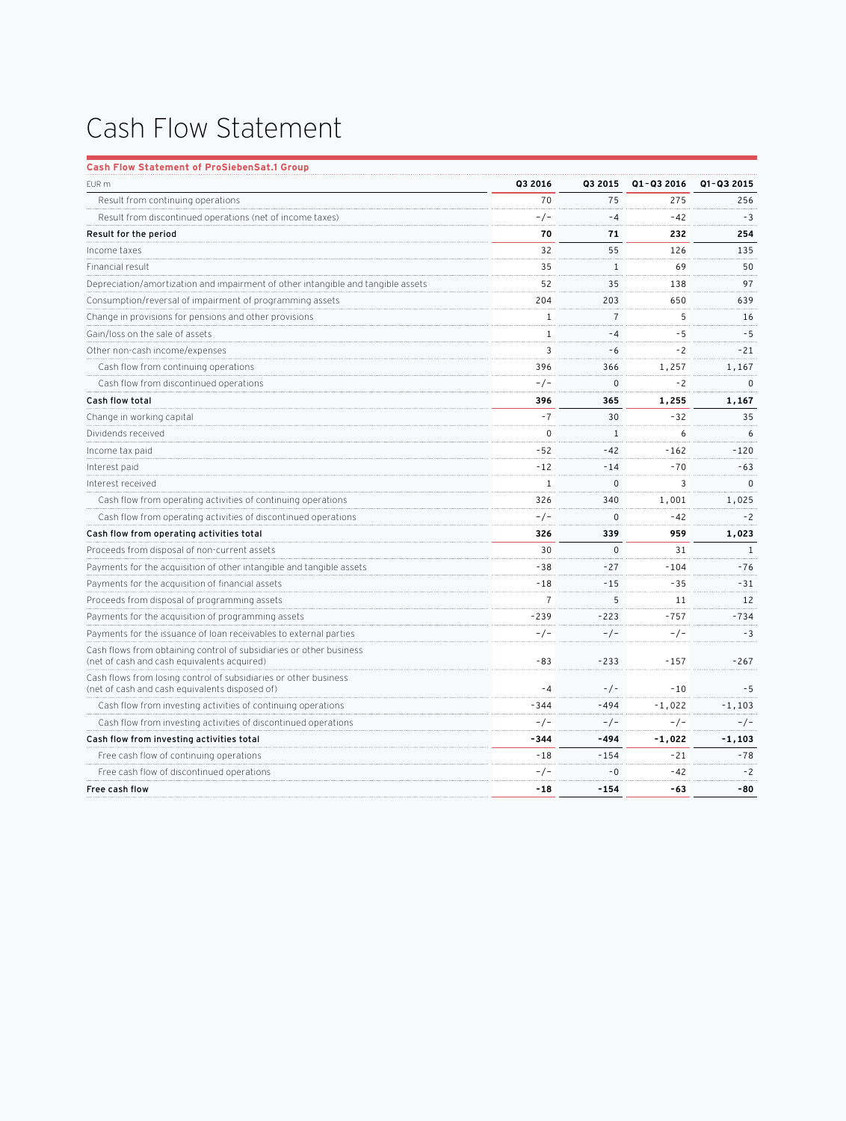## Cash Flow Statement

| Q1-Q3 2016<br>EUR m<br>Q3 2016<br>Q3 2015<br>Q1-Q3 2015<br>70<br>275<br>Result from continuing operations<br>75<br>256<br>$-3$<br>Result from discontinued operations (net of income taxes)<br>-/-<br>$-4$<br>$-42$<br>Result for the period<br>232<br>70<br>71<br>254<br>55<br>135<br>Income taxes<br>32<br>126<br>Financial result<br>35<br>$1\,$<br>69<br>50<br>97<br>Depreciation/amortization and impairment of other intangible and tangible assets<br>52<br>35<br>138<br>Consumption/reversal of impairment of programming assets<br>204<br>203<br>650<br>639<br>$\overline{7}$<br>5<br>Change in provisions for pensions and other provisions<br>$\mathbf{1}$<br>16<br>$-4$<br>$-5$<br>$-5$<br>Gain/loss on the sale of assets<br>1<br>3<br>Other non-cash income/expenses<br>$-6$<br>$-2$<br>$-21$<br>Cash flow from continuing operations<br>396<br>366<br>1,257<br>1,167<br>$-/-$<br>0<br>-2<br>$\mathbf{0}$<br>Cash flow from discontinued operations<br>Cash flow total<br>396<br>365<br>1,255<br>1,167<br>$-7$<br>30<br>35<br>Change in working capital<br>$-32$<br>$\mathbf 0$<br>Dividends received<br>6<br>1<br>6<br>$-42$<br>$-52$<br>$-120$<br>Income tax paid<br>$-162$<br>$-12$<br>$-14$<br>$-70$<br>$-63$<br>Interest paid<br>1<br>$\Omega$<br>3<br>$\Omega$<br>Interest received<br>Cash flow from operating activities of continuing operations<br>1,001<br>326<br>340<br>1,025<br>Cash flow from operating activities of discontinued operations<br>$-/-$<br>$\Omega$<br>$-42$<br>$-2$<br>Cash flow from operating activities total<br>326<br>339<br>959<br>1,023<br>Proceeds from disposal of non-current assets<br>$\Omega$<br>30<br>31<br>1<br>Payments for the acquisition of other intangible and tangible assets<br>$-38$<br>$-27$<br>$-104$<br>$-76$<br>$-35$<br>Payments for the acquisition of financial assets<br>$-15$<br>$-31$<br>-18<br>Proceeds from disposal of programming assets<br>$\overline{7}$<br>5<br>12<br>11<br>$-239$<br>$-223$<br>$-757$<br>$-734$<br>Payments for the acquisition of programming assets<br>$-/-$<br>$-/-$<br>$-3$<br>Payments for the issuance of loan receivables to external parties<br>-/-<br>Cash flows from obtaining control of subsidiaries or other business<br>$-83$<br>$-233$<br>$-157$<br>(net of cash and cash equivalents acquired)<br>$-267$<br>Cash flows from losing control of subsidiaries or other business<br>$-/-$<br>$-5$<br>(net of cash and cash equivalents disposed of)<br>$-4$<br>$-10$<br>Cash flow from investing activities of continuing operations<br>$-344$<br>$-494$<br>$-1,022$<br>-1,103<br>Cash flow from investing activities of discontinued operations<br>$-/-$<br>$-/-$<br>$-/-$<br>$-/-$<br>Cash flow from investing activities total<br>-494<br>$-1,022$<br>$-1,103$<br>-344<br>$-78$<br>Free cash flow of continuing operations<br>$-154$<br>$-21$<br>-18<br>Free cash flow of discontinued operations<br>$-/-$<br>$-0$<br>$-42$<br>$-2$<br>$-154$<br>-80<br>Free cash flow<br>-18<br>-63 | <b>Cash Flow Statement of ProSiebenSat.1 Group</b> |  |  |
|-----------------------------------------------------------------------------------------------------------------------------------------------------------------------------------------------------------------------------------------------------------------------------------------------------------------------------------------------------------------------------------------------------------------------------------------------------------------------------------------------------------------------------------------------------------------------------------------------------------------------------------------------------------------------------------------------------------------------------------------------------------------------------------------------------------------------------------------------------------------------------------------------------------------------------------------------------------------------------------------------------------------------------------------------------------------------------------------------------------------------------------------------------------------------------------------------------------------------------------------------------------------------------------------------------------------------------------------------------------------------------------------------------------------------------------------------------------------------------------------------------------------------------------------------------------------------------------------------------------------------------------------------------------------------------------------------------------------------------------------------------------------------------------------------------------------------------------------------------------------------------------------------------------------------------------------------------------------------------------------------------------------------------------------------------------------------------------------------------------------------------------------------------------------------------------------------------------------------------------------------------------------------------------------------------------------------------------------------------------------------------------------------------------------------------------------------------------------------------------------------------------------------------------------------------------------------------------------------------------------------------------------------------------------------------------------------------------------------------------------------------------------------------------------------------------------------------------------------------------------------------------------------------------------------------------------------------------------------------------------------------------|----------------------------------------------------|--|--|
|                                                                                                                                                                                                                                                                                                                                                                                                                                                                                                                                                                                                                                                                                                                                                                                                                                                                                                                                                                                                                                                                                                                                                                                                                                                                                                                                                                                                                                                                                                                                                                                                                                                                                                                                                                                                                                                                                                                                                                                                                                                                                                                                                                                                                                                                                                                                                                                                                                                                                                                                                                                                                                                                                                                                                                                                                                                                                                                                                                                                           |                                                    |  |  |
|                                                                                                                                                                                                                                                                                                                                                                                                                                                                                                                                                                                                                                                                                                                                                                                                                                                                                                                                                                                                                                                                                                                                                                                                                                                                                                                                                                                                                                                                                                                                                                                                                                                                                                                                                                                                                                                                                                                                                                                                                                                                                                                                                                                                                                                                                                                                                                                                                                                                                                                                                                                                                                                                                                                                                                                                                                                                                                                                                                                                           |                                                    |  |  |
|                                                                                                                                                                                                                                                                                                                                                                                                                                                                                                                                                                                                                                                                                                                                                                                                                                                                                                                                                                                                                                                                                                                                                                                                                                                                                                                                                                                                                                                                                                                                                                                                                                                                                                                                                                                                                                                                                                                                                                                                                                                                                                                                                                                                                                                                                                                                                                                                                                                                                                                                                                                                                                                                                                                                                                                                                                                                                                                                                                                                           |                                                    |  |  |
|                                                                                                                                                                                                                                                                                                                                                                                                                                                                                                                                                                                                                                                                                                                                                                                                                                                                                                                                                                                                                                                                                                                                                                                                                                                                                                                                                                                                                                                                                                                                                                                                                                                                                                                                                                                                                                                                                                                                                                                                                                                                                                                                                                                                                                                                                                                                                                                                                                                                                                                                                                                                                                                                                                                                                                                                                                                                                                                                                                                                           |                                                    |  |  |
|                                                                                                                                                                                                                                                                                                                                                                                                                                                                                                                                                                                                                                                                                                                                                                                                                                                                                                                                                                                                                                                                                                                                                                                                                                                                                                                                                                                                                                                                                                                                                                                                                                                                                                                                                                                                                                                                                                                                                                                                                                                                                                                                                                                                                                                                                                                                                                                                                                                                                                                                                                                                                                                                                                                                                                                                                                                                                                                                                                                                           |                                                    |  |  |
|                                                                                                                                                                                                                                                                                                                                                                                                                                                                                                                                                                                                                                                                                                                                                                                                                                                                                                                                                                                                                                                                                                                                                                                                                                                                                                                                                                                                                                                                                                                                                                                                                                                                                                                                                                                                                                                                                                                                                                                                                                                                                                                                                                                                                                                                                                                                                                                                                                                                                                                                                                                                                                                                                                                                                                                                                                                                                                                                                                                                           |                                                    |  |  |
|                                                                                                                                                                                                                                                                                                                                                                                                                                                                                                                                                                                                                                                                                                                                                                                                                                                                                                                                                                                                                                                                                                                                                                                                                                                                                                                                                                                                                                                                                                                                                                                                                                                                                                                                                                                                                                                                                                                                                                                                                                                                                                                                                                                                                                                                                                                                                                                                                                                                                                                                                                                                                                                                                                                                                                                                                                                                                                                                                                                                           |                                                    |  |  |
|                                                                                                                                                                                                                                                                                                                                                                                                                                                                                                                                                                                                                                                                                                                                                                                                                                                                                                                                                                                                                                                                                                                                                                                                                                                                                                                                                                                                                                                                                                                                                                                                                                                                                                                                                                                                                                                                                                                                                                                                                                                                                                                                                                                                                                                                                                                                                                                                                                                                                                                                                                                                                                                                                                                                                                                                                                                                                                                                                                                                           |                                                    |  |  |
|                                                                                                                                                                                                                                                                                                                                                                                                                                                                                                                                                                                                                                                                                                                                                                                                                                                                                                                                                                                                                                                                                                                                                                                                                                                                                                                                                                                                                                                                                                                                                                                                                                                                                                                                                                                                                                                                                                                                                                                                                                                                                                                                                                                                                                                                                                                                                                                                                                                                                                                                                                                                                                                                                                                                                                                                                                                                                                                                                                                                           |                                                    |  |  |
|                                                                                                                                                                                                                                                                                                                                                                                                                                                                                                                                                                                                                                                                                                                                                                                                                                                                                                                                                                                                                                                                                                                                                                                                                                                                                                                                                                                                                                                                                                                                                                                                                                                                                                                                                                                                                                                                                                                                                                                                                                                                                                                                                                                                                                                                                                                                                                                                                                                                                                                                                                                                                                                                                                                                                                                                                                                                                                                                                                                                           |                                                    |  |  |
|                                                                                                                                                                                                                                                                                                                                                                                                                                                                                                                                                                                                                                                                                                                                                                                                                                                                                                                                                                                                                                                                                                                                                                                                                                                                                                                                                                                                                                                                                                                                                                                                                                                                                                                                                                                                                                                                                                                                                                                                                                                                                                                                                                                                                                                                                                                                                                                                                                                                                                                                                                                                                                                                                                                                                                                                                                                                                                                                                                                                           |                                                    |  |  |
|                                                                                                                                                                                                                                                                                                                                                                                                                                                                                                                                                                                                                                                                                                                                                                                                                                                                                                                                                                                                                                                                                                                                                                                                                                                                                                                                                                                                                                                                                                                                                                                                                                                                                                                                                                                                                                                                                                                                                                                                                                                                                                                                                                                                                                                                                                                                                                                                                                                                                                                                                                                                                                                                                                                                                                                                                                                                                                                                                                                                           |                                                    |  |  |
|                                                                                                                                                                                                                                                                                                                                                                                                                                                                                                                                                                                                                                                                                                                                                                                                                                                                                                                                                                                                                                                                                                                                                                                                                                                                                                                                                                                                                                                                                                                                                                                                                                                                                                                                                                                                                                                                                                                                                                                                                                                                                                                                                                                                                                                                                                                                                                                                                                                                                                                                                                                                                                                                                                                                                                                                                                                                                                                                                                                                           |                                                    |  |  |
|                                                                                                                                                                                                                                                                                                                                                                                                                                                                                                                                                                                                                                                                                                                                                                                                                                                                                                                                                                                                                                                                                                                                                                                                                                                                                                                                                                                                                                                                                                                                                                                                                                                                                                                                                                                                                                                                                                                                                                                                                                                                                                                                                                                                                                                                                                                                                                                                                                                                                                                                                                                                                                                                                                                                                                                                                                                                                                                                                                                                           |                                                    |  |  |
|                                                                                                                                                                                                                                                                                                                                                                                                                                                                                                                                                                                                                                                                                                                                                                                                                                                                                                                                                                                                                                                                                                                                                                                                                                                                                                                                                                                                                                                                                                                                                                                                                                                                                                                                                                                                                                                                                                                                                                                                                                                                                                                                                                                                                                                                                                                                                                                                                                                                                                                                                                                                                                                                                                                                                                                                                                                                                                                                                                                                           |                                                    |  |  |
|                                                                                                                                                                                                                                                                                                                                                                                                                                                                                                                                                                                                                                                                                                                                                                                                                                                                                                                                                                                                                                                                                                                                                                                                                                                                                                                                                                                                                                                                                                                                                                                                                                                                                                                                                                                                                                                                                                                                                                                                                                                                                                                                                                                                                                                                                                                                                                                                                                                                                                                                                                                                                                                                                                                                                                                                                                                                                                                                                                                                           |                                                    |  |  |
|                                                                                                                                                                                                                                                                                                                                                                                                                                                                                                                                                                                                                                                                                                                                                                                                                                                                                                                                                                                                                                                                                                                                                                                                                                                                                                                                                                                                                                                                                                                                                                                                                                                                                                                                                                                                                                                                                                                                                                                                                                                                                                                                                                                                                                                                                                                                                                                                                                                                                                                                                                                                                                                                                                                                                                                                                                                                                                                                                                                                           |                                                    |  |  |
|                                                                                                                                                                                                                                                                                                                                                                                                                                                                                                                                                                                                                                                                                                                                                                                                                                                                                                                                                                                                                                                                                                                                                                                                                                                                                                                                                                                                                                                                                                                                                                                                                                                                                                                                                                                                                                                                                                                                                                                                                                                                                                                                                                                                                                                                                                                                                                                                                                                                                                                                                                                                                                                                                                                                                                                                                                                                                                                                                                                                           |                                                    |  |  |
|                                                                                                                                                                                                                                                                                                                                                                                                                                                                                                                                                                                                                                                                                                                                                                                                                                                                                                                                                                                                                                                                                                                                                                                                                                                                                                                                                                                                                                                                                                                                                                                                                                                                                                                                                                                                                                                                                                                                                                                                                                                                                                                                                                                                                                                                                                                                                                                                                                                                                                                                                                                                                                                                                                                                                                                                                                                                                                                                                                                                           |                                                    |  |  |
|                                                                                                                                                                                                                                                                                                                                                                                                                                                                                                                                                                                                                                                                                                                                                                                                                                                                                                                                                                                                                                                                                                                                                                                                                                                                                                                                                                                                                                                                                                                                                                                                                                                                                                                                                                                                                                                                                                                                                                                                                                                                                                                                                                                                                                                                                                                                                                                                                                                                                                                                                                                                                                                                                                                                                                                                                                                                                                                                                                                                           |                                                    |  |  |
|                                                                                                                                                                                                                                                                                                                                                                                                                                                                                                                                                                                                                                                                                                                                                                                                                                                                                                                                                                                                                                                                                                                                                                                                                                                                                                                                                                                                                                                                                                                                                                                                                                                                                                                                                                                                                                                                                                                                                                                                                                                                                                                                                                                                                                                                                                                                                                                                                                                                                                                                                                                                                                                                                                                                                                                                                                                                                                                                                                                                           |                                                    |  |  |
|                                                                                                                                                                                                                                                                                                                                                                                                                                                                                                                                                                                                                                                                                                                                                                                                                                                                                                                                                                                                                                                                                                                                                                                                                                                                                                                                                                                                                                                                                                                                                                                                                                                                                                                                                                                                                                                                                                                                                                                                                                                                                                                                                                                                                                                                                                                                                                                                                                                                                                                                                                                                                                                                                                                                                                                                                                                                                                                                                                                                           |                                                    |  |  |
|                                                                                                                                                                                                                                                                                                                                                                                                                                                                                                                                                                                                                                                                                                                                                                                                                                                                                                                                                                                                                                                                                                                                                                                                                                                                                                                                                                                                                                                                                                                                                                                                                                                                                                                                                                                                                                                                                                                                                                                                                                                                                                                                                                                                                                                                                                                                                                                                                                                                                                                                                                                                                                                                                                                                                                                                                                                                                                                                                                                                           |                                                    |  |  |
|                                                                                                                                                                                                                                                                                                                                                                                                                                                                                                                                                                                                                                                                                                                                                                                                                                                                                                                                                                                                                                                                                                                                                                                                                                                                                                                                                                                                                                                                                                                                                                                                                                                                                                                                                                                                                                                                                                                                                                                                                                                                                                                                                                                                                                                                                                                                                                                                                                                                                                                                                                                                                                                                                                                                                                                                                                                                                                                                                                                                           |                                                    |  |  |
|                                                                                                                                                                                                                                                                                                                                                                                                                                                                                                                                                                                                                                                                                                                                                                                                                                                                                                                                                                                                                                                                                                                                                                                                                                                                                                                                                                                                                                                                                                                                                                                                                                                                                                                                                                                                                                                                                                                                                                                                                                                                                                                                                                                                                                                                                                                                                                                                                                                                                                                                                                                                                                                                                                                                                                                                                                                                                                                                                                                                           |                                                    |  |  |
|                                                                                                                                                                                                                                                                                                                                                                                                                                                                                                                                                                                                                                                                                                                                                                                                                                                                                                                                                                                                                                                                                                                                                                                                                                                                                                                                                                                                                                                                                                                                                                                                                                                                                                                                                                                                                                                                                                                                                                                                                                                                                                                                                                                                                                                                                                                                                                                                                                                                                                                                                                                                                                                                                                                                                                                                                                                                                                                                                                                                           |                                                    |  |  |
|                                                                                                                                                                                                                                                                                                                                                                                                                                                                                                                                                                                                                                                                                                                                                                                                                                                                                                                                                                                                                                                                                                                                                                                                                                                                                                                                                                                                                                                                                                                                                                                                                                                                                                                                                                                                                                                                                                                                                                                                                                                                                                                                                                                                                                                                                                                                                                                                                                                                                                                                                                                                                                                                                                                                                                                                                                                                                                                                                                                                           |                                                    |  |  |
|                                                                                                                                                                                                                                                                                                                                                                                                                                                                                                                                                                                                                                                                                                                                                                                                                                                                                                                                                                                                                                                                                                                                                                                                                                                                                                                                                                                                                                                                                                                                                                                                                                                                                                                                                                                                                                                                                                                                                                                                                                                                                                                                                                                                                                                                                                                                                                                                                                                                                                                                                                                                                                                                                                                                                                                                                                                                                                                                                                                                           |                                                    |  |  |
|                                                                                                                                                                                                                                                                                                                                                                                                                                                                                                                                                                                                                                                                                                                                                                                                                                                                                                                                                                                                                                                                                                                                                                                                                                                                                                                                                                                                                                                                                                                                                                                                                                                                                                                                                                                                                                                                                                                                                                                                                                                                                                                                                                                                                                                                                                                                                                                                                                                                                                                                                                                                                                                                                                                                                                                                                                                                                                                                                                                                           |                                                    |  |  |
|                                                                                                                                                                                                                                                                                                                                                                                                                                                                                                                                                                                                                                                                                                                                                                                                                                                                                                                                                                                                                                                                                                                                                                                                                                                                                                                                                                                                                                                                                                                                                                                                                                                                                                                                                                                                                                                                                                                                                                                                                                                                                                                                                                                                                                                                                                                                                                                                                                                                                                                                                                                                                                                                                                                                                                                                                                                                                                                                                                                                           |                                                    |  |  |
|                                                                                                                                                                                                                                                                                                                                                                                                                                                                                                                                                                                                                                                                                                                                                                                                                                                                                                                                                                                                                                                                                                                                                                                                                                                                                                                                                                                                                                                                                                                                                                                                                                                                                                                                                                                                                                                                                                                                                                                                                                                                                                                                                                                                                                                                                                                                                                                                                                                                                                                                                                                                                                                                                                                                                                                                                                                                                                                                                                                                           |                                                    |  |  |
|                                                                                                                                                                                                                                                                                                                                                                                                                                                                                                                                                                                                                                                                                                                                                                                                                                                                                                                                                                                                                                                                                                                                                                                                                                                                                                                                                                                                                                                                                                                                                                                                                                                                                                                                                                                                                                                                                                                                                                                                                                                                                                                                                                                                                                                                                                                                                                                                                                                                                                                                                                                                                                                                                                                                                                                                                                                                                                                                                                                                           |                                                    |  |  |
|                                                                                                                                                                                                                                                                                                                                                                                                                                                                                                                                                                                                                                                                                                                                                                                                                                                                                                                                                                                                                                                                                                                                                                                                                                                                                                                                                                                                                                                                                                                                                                                                                                                                                                                                                                                                                                                                                                                                                                                                                                                                                                                                                                                                                                                                                                                                                                                                                                                                                                                                                                                                                                                                                                                                                                                                                                                                                                                                                                                                           |                                                    |  |  |
|                                                                                                                                                                                                                                                                                                                                                                                                                                                                                                                                                                                                                                                                                                                                                                                                                                                                                                                                                                                                                                                                                                                                                                                                                                                                                                                                                                                                                                                                                                                                                                                                                                                                                                                                                                                                                                                                                                                                                                                                                                                                                                                                                                                                                                                                                                                                                                                                                                                                                                                                                                                                                                                                                                                                                                                                                                                                                                                                                                                                           |                                                    |  |  |
|                                                                                                                                                                                                                                                                                                                                                                                                                                                                                                                                                                                                                                                                                                                                                                                                                                                                                                                                                                                                                                                                                                                                                                                                                                                                                                                                                                                                                                                                                                                                                                                                                                                                                                                                                                                                                                                                                                                                                                                                                                                                                                                                                                                                                                                                                                                                                                                                                                                                                                                                                                                                                                                                                                                                                                                                                                                                                                                                                                                                           |                                                    |  |  |
|                                                                                                                                                                                                                                                                                                                                                                                                                                                                                                                                                                                                                                                                                                                                                                                                                                                                                                                                                                                                                                                                                                                                                                                                                                                                                                                                                                                                                                                                                                                                                                                                                                                                                                                                                                                                                                                                                                                                                                                                                                                                                                                                                                                                                                                                                                                                                                                                                                                                                                                                                                                                                                                                                                                                                                                                                                                                                                                                                                                                           |                                                    |  |  |